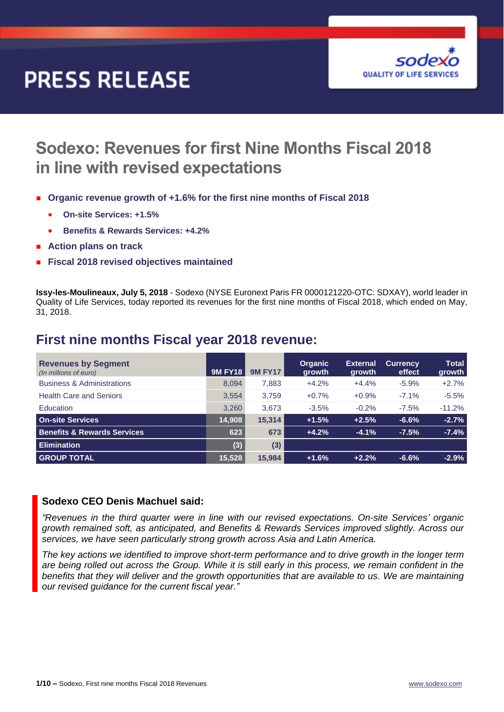# **PRESS RELEASE**



# **Sodexo: Revenues for first Nine Months Fiscal 2018 in line with revised expectations**

- **Organic revenue growth of +1.6% for the first nine months of Fiscal 2018**
	- **On-site Services: +1.5%**
	- **Benefits & Rewards Services: +4.2%**
- **Action plans on track**
- **Fiscal 2018 revised objectives maintained**

**Issy-les-Moulineaux, July 5, 2018** - Sodexo (NYSE Euronext Paris FR 0000121220-OTC: SDXAY), world leader in Quality of Life Services, today reported its revenues for the first nine months of Fiscal 2018, which ended on May, 31, 2018.

## **First nine months Fiscal year 2018 revenue:**

| <b>Revenues by Segment</b><br>(In millions of euro) | <b>9M FY18</b> | <b>9M FY17</b> | <b>Organic</b><br>growth | <b>External</b><br>growth | <b>Currency</b><br>effect | <b>Total</b><br>growth |
|-----------------------------------------------------|----------------|----------------|--------------------------|---------------------------|---------------------------|------------------------|
| <b>Business &amp; Administrations</b>               | 8.094          | 7,883          | $+4.2%$                  | $+4.4%$                   | $-5.9%$                   | $+2.7%$                |
| <b>Health Care and Seniors</b>                      | 3.554          | 3.759          | $+0.7%$                  | $+0.9%$                   | $-7.1%$                   | $-5.5%$                |
| Education                                           | 3.260          | 3.673          | $-3.5%$                  | $-0.2%$                   | $-7.5%$                   | $-11.2%$               |
| <b>On-site Services</b>                             | 14,908         | 15.314         | $+1.5%$                  | $+2.5%$                   | $-6.6%$                   | $-2.7%$                |
| <b>Benefits &amp; Rewards Services</b>              | 623            | 673            | $+4.2%$                  | $-4.1%$                   | $-7.5%$                   | $-7.4%$                |
| <b>Elimination</b>                                  | (3)            | (3)            |                          |                           |                           |                        |
| <b>GROUP TOTAL</b>                                  | 15,528         | 15,984         | $+1.6%$                  | $+2.2%$                   | $-6.6%$                   | $-2.9%$                |

### **Sodexo CEO Denis Machuel said:**

*"Revenues in the third quarter were in line with our revised expectations. On-site Services' organic growth remained soft, as anticipated, and Benefits & Rewards Services improved slightly. Across our services, we have seen particularly strong growth across Asia and Latin America.*

*The key actions we identified to improve short-term performance and to drive growth in the longer term are being rolled out across the Group. While it is still early in this process, we remain confident in the benefits that they will deliver and the growth opportunities that are available to us. We are maintaining our revised guidance for the current fiscal year."*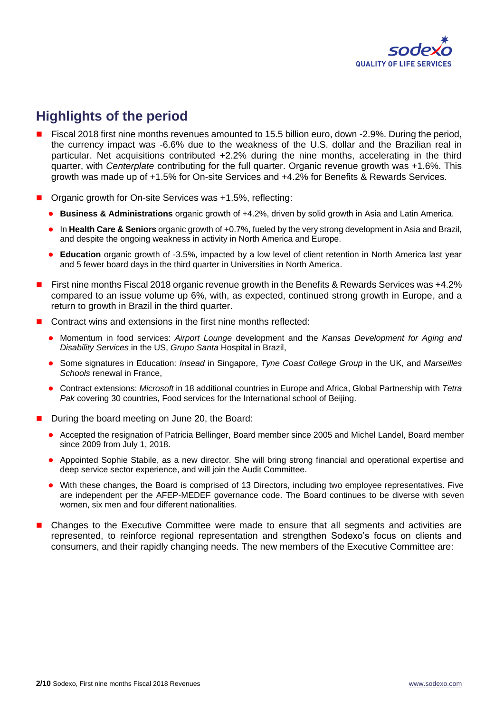

# **Highlights of the period**

- Fiscal 2018 first nine months revenues amounted to 15.5 billion euro, down -2.9%. During the period, the currency impact was -6.6% due to the weakness of the U.S. dollar and the Brazilian real in particular. Net acquisitions contributed +2.2% during the nine months, accelerating in the third quarter, with *Centerplate* contributing for the full quarter. Organic revenue growth was +1.6%. This growth was made up of +1.5% for On-site Services and +4.2% for Benefits & Rewards Services.
- Organic growth for On-site Services was +1.5%, reflecting:
	- **Business & Administrations** organic growth of +4.2%, driven by solid growth in Asia and Latin America.
	- In **Health Care & Seniors** organic growth of +0.7%, fueled by the very strong development in Asia and Brazil, and despite the ongoing weakness in activity in North America and Europe.
	- **Education** organic growth of -3.5%, impacted by a low level of client retention in North America last year and 5 fewer board days in the third quarter in Universities in North America.
- First nine months Fiscal 2018 organic revenue growth in the Benefits & Rewards Services was +4.2% compared to an issue volume up 6%, with, as expected, continued strong growth in Europe, and a return to growth in Brazil in the third quarter.
- Contract wins and extensions in the first nine months reflected:
	- Momentum in food services: *Airport Lounge* development and the *Kansas Development for Aging and Disability Services* in the US, *Grupo Santa* Hospital in Brazil,
	- Some signatures in Education: *Insead* in Singapore, *Tyne Coast College Group* in the UK, and *Marseilles Schools* renewal in France,
	- Contract extensions: *Microsoft* in 18 additional countries in Europe and Africa, Global Partnership with *Tetra Pak* covering 30 countries, Food services for the International school of Beijing.
- During the board meeting on June 20, the Board:
	- Accepted the resignation of Patricia Bellinger, Board member since 2005 and Michel Landel, Board member since 2009 from July 1, 2018.
	- Appointed Sophie Stabile, as a new director. She will bring strong financial and operational expertise and deep service sector experience, and will join the Audit Committee.
	- With these changes, the Board is comprised of 13 Directors, including two employee representatives. Five are independent per the AFEP-MEDEF governance code. The Board continues to be diverse with seven women, six men and four different nationalities.
- Changes to the Executive Committee were made to ensure that all segments and activities are represented, to reinforce regional representation and strengthen Sodexo's focus on clients and consumers, and their rapidly changing needs. The new members of the Executive Committee are: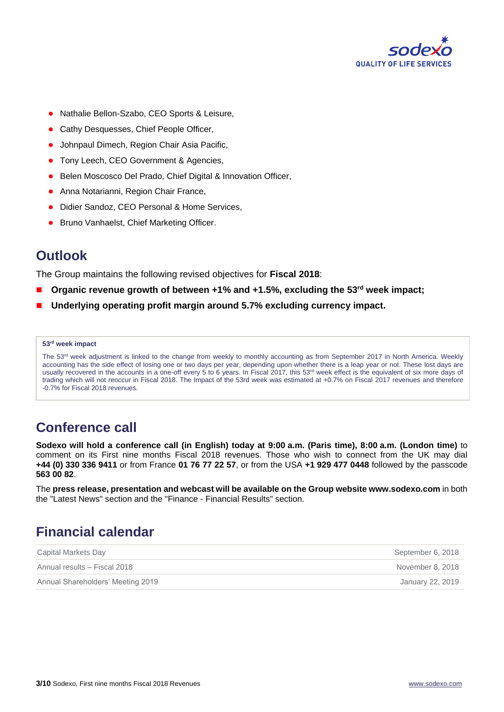

- Nathalie Bellon-Szabo, CEO Sports & Leisure,
- Cathy Desquesses, Chief People Officer,
- Johnpaul Dimech, Region Chair Asia Pacific,
- Tony Leech, CEO Government & Agencies,
- Belen Moscosco Del Prado, Chief Digital & Innovation Officer,
- Anna Notarianni, Region Chair France,
- Didier Sandoz, CEO Personal & Home Services,
- Bruno Vanhaelst, Chief Marketing Officer.

## **Outlook**

The Group maintains the following revised objectives for **Fiscal 2018**:

- **Organic revenue growth of between +1% and +1.5%, excluding the 53rd week impact;**
- **Underlying operating profit margin around 5.7% excluding currency impact.**

#### **53rd week impact**

The 53<sup>rd</sup> week adjustment is linked to the change from weekly to monthly accounting as from September 2017 in North America. Weekly accounting has the side effect of losing one or two days per year, depending upon whether there is a leap year or not. These lost days are usually recovered in the accounts in a one-off every 5 to 6 years. In Fiscal 2017, this 53<sup>rd</sup> week effect is the equivalent of six more days of trading which will not reoccur in Fiscal 2018. The Impact of the 53rd week was estimated at +0.7% on Fiscal 2017 revenues and therefore -0.7% for Fiscal 2018 revenues.

# **Conference call**

**Sodexo will hold a conference call (in English) today at 9:00 a.m. (Paris time), 8:00 a.m. (London time)** to comment on its First nine months Fiscal 2018 revenues. Those who wish to connect from the UK may dial **+44 (0) 330 336 9411** or from France **01 76 77 22 57**, or from the USA **+1 929 477 0448** followed by the passcode **563 00 82**.

The **press release, presentation and webcast will be available on the Group website www.sodexo.com** in both the "Latest News" section and the "Finance - Financial Results" section.

# **Financial calendar**

| Capital Markets Day               | September 6, 2018 |
|-----------------------------------|-------------------|
| Annual results - Fiscal 2018      | November 8, 2018  |
| Annual Shareholders' Meeting 2019 | January 22, 2019  |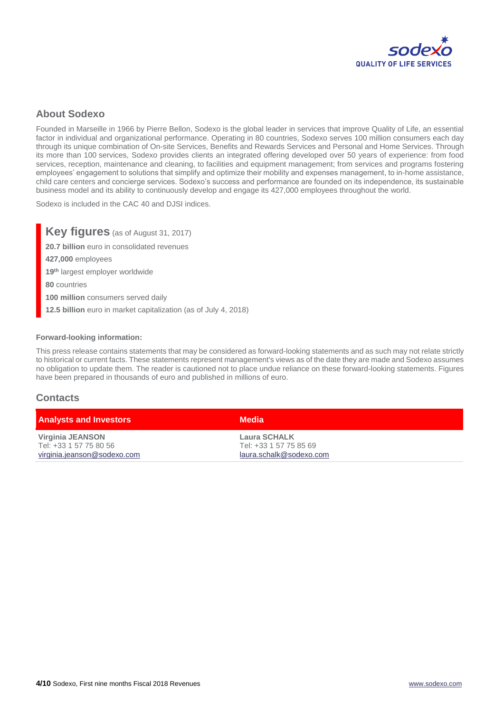

## **About Sodexo**

Founded in Marseille in 1966 by Pierre Bellon, Sodexo is the global leader in services that improve Quality of Life, an essential factor in individual and organizational performance. Operating in 80 countries, Sodexo serves 100 million consumers each day through its unique combination of On-site Services, Benefits and Rewards Services and Personal and Home Services. Through its more than 100 services, Sodexo provides clients an integrated offering developed over 50 years of experience: from food services, reception, maintenance and cleaning, to facilities and equipment management; from services and programs fostering employees' engagement to solutions that simplify and optimize their mobility and expenses management, to in-home assistance, child care centers and concierge services. Sodexo's success and performance are founded on its independence, its sustainable business model and its ability to continuously develop and engage its 427,000 employees throughout the world.

Sodexo is included in the CAC 40 and DJSI indices.

**Key figures** (as of August 31, 2017) **20.7 billion** euro in consolidated revenues **427,000** employees **19th** largest employer worldwide **80** countries **100 million** consumers served daily **12.5 billion** euro in market capitalization (as of July 4, 2018)

#### **Forward-looking information:**

This press release contains statements that may be considered as forward-looking statements and as such may not relate strictly to historical or current facts. These statements represent management's views as of the date they are made and Sodexo assumes no obligation to update them. The reader is cautioned not to place undue reliance on these forward-looking statements. Figures have been prepared in thousands of euro and published in millions of euro.

#### **Contacts**

| <b>Analysts and Investors</b> | Media                   |  |
|-------------------------------|-------------------------|--|
| Virginia JEANSON              | Laura SCHALK            |  |
| Tel: +33 1 57 75 80 56        | Tel: +33 1 57 75 85 69  |  |
| virginia.jeanson@sodexo.com   | laura.schalk@sodexo.com |  |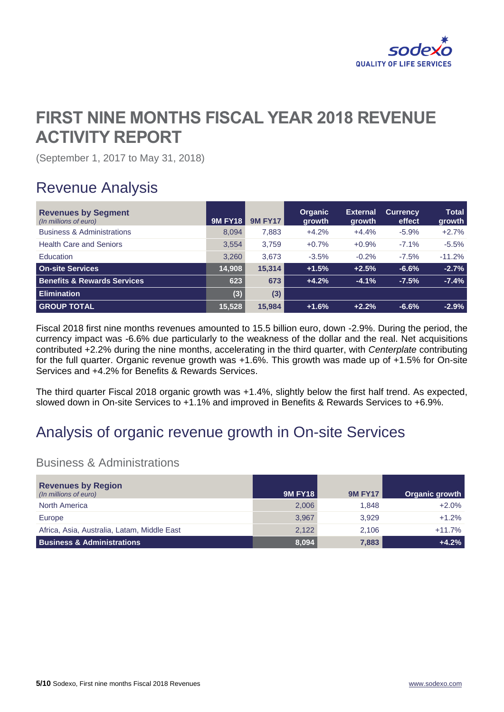

# **FIRST NINE MONTHS FISCAL YEAR 2018 REVENUE ACTIVITY REPORT**

(September 1, 2017 to May 31, 2018)

# Revenue Analysis

| <b>Revenues by Segment</b><br>(In millions of euro) | <b>9M FY18</b> | <b>9M FY17</b> | <b>Organic</b><br>growth | <b>External</b><br>growth | <b>Currency</b><br>effect | <b>Total</b><br>growth |
|-----------------------------------------------------|----------------|----------------|--------------------------|---------------------------|---------------------------|------------------------|
| <b>Business &amp; Administrations</b>               | 8.094          | 7.883          | $+4.2%$                  | $+4.4%$                   | $-5.9%$                   | $+2.7%$                |
| <b>Health Care and Seniors</b>                      | 3,554          | 3.759          | $+0.7%$                  | $+0.9%$                   | $-7.1%$                   | $-5.5%$                |
| Education                                           | 3,260          | 3.673          | $-3.5%$                  | $-0.2%$                   | $-7.5%$                   | $-11.2%$               |
| <b>On-site Services</b>                             | 14,908         | 15.314         | $+1.5%$                  | $+2.5%$                   | $-6.6%$                   | $-2.7%$                |
| <b>Benefits &amp; Rewards Services</b>              | 623            | 673            | $+4.2%$                  | $-4.1%$                   | $-7.5%$                   | $-7.4%$                |
| <b>Elimination</b>                                  | (3)            | (3)            |                          |                           |                           |                        |
| <b>GROUP TOTAL</b>                                  | 15,528         | 15.984         | $+1.6%$                  | $+2.2%$                   | $-6.6%$                   | $-2.9%$                |

Fiscal 2018 first nine months revenues amounted to 15.5 billion euro, down -2.9%. During the period, the currency impact was -6.6% due particularly to the weakness of the dollar and the real. Net acquisitions contributed +2.2% during the nine months, accelerating in the third quarter, with *Centerplate* contributing for the full quarter. Organic revenue growth was +1.6%. This growth was made up of +1.5% for On-site Services and +4.2% for Benefits & Rewards Services.

The third quarter Fiscal 2018 organic growth was +1.4%, slightly below the first half trend. As expected, slowed down in On-site Services to +1.1% and improved in Benefits & Rewards Services to +6.9%.

# Analysis of organic revenue growth in On-site Services

## Business & Administrations

| <b>Revenues by Region</b><br>(In millions of euro) | 9M FY18 | <b>9M FY17</b> | Organic growth |
|----------------------------------------------------|---------|----------------|----------------|
| <b>North America</b>                               | 2,006   | 1.848          | $+2.0%$        |
| Europe                                             | 3,967   | 3.929          | $+1.2%$        |
| Africa, Asia, Australia, Latam, Middle East        | 2,122   | 2.106          | $+11.7%$       |
| <b>Business &amp; Administrations</b>              | 8,094   | 7,883          | $+4.2%$        |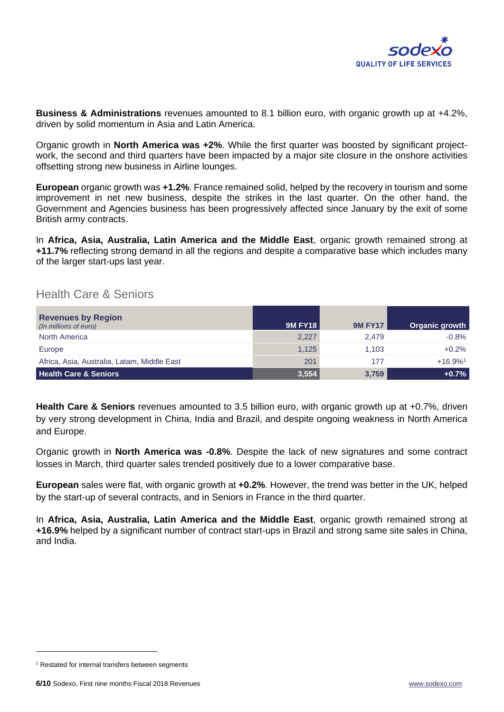

**Business & Administrations** revenues amounted to 8.1 billion euro, with organic growth up at +4.2%, driven by solid momentum in Asia and Latin America.

Organic growth in **North America was +2%**. While the first quarter was boosted by significant projectwork, the second and third quarters have been impacted by a major site closure in the onshore activities offsetting strong new business in Airline lounges.

**European** organic growth was **+1.2%**. France remained solid, helped by the recovery in tourism and some improvement in net new business, despite the strikes in the last quarter. On the other hand, the Government and Agencies business has been progressively affected since January by the exit of some British army contracts.

In **Africa, Asia, Australia, Latin America and the Middle East**, organic growth remained strong at **+11.7%** reflecting strong demand in all the regions and despite a comparative base which includes many of the larger start-ups last year.

## Health Care & Seniors

| <b>Revenues by Region</b><br>(In millions of euro) | 9M FY18 | <b>9M FY17</b> | Organic growth        |
|----------------------------------------------------|---------|----------------|-----------------------|
| North America                                      | 2,227   | 2.479          | $-0.8%$               |
| Europe                                             | 1,125   | 1.103          | $+0.2%$               |
| Africa, Asia, Australia, Latam, Middle East        | 201     | 177            | $+16.9%$ <sup>1</sup> |
| <b>Health Care &amp; Seniors</b>                   | 3,554   | 3,759          | $+0.7%$               |

**Health Care & Seniors** revenues amounted to 3.5 billion euro, with organic growth up at +0.7%, driven by very strong development in China, India and Brazil, and despite ongoing weakness in North America and Europe.

Organic growth in **North America was -0.8%**. Despite the lack of new signatures and some contract losses in March, third quarter sales trended positively due to a lower comparative base.

**European** sales were flat, with organic growth at **+0.2%**. However, the trend was better in the UK, helped by the start-up of several contracts, and in Seniors in France in the third quarter.

In **Africa, Asia, Australia, Latin America and the Middle East**, organic growth remained strong at **+16.9%** helped by a significant number of contract start-ups in Brazil and strong same site sales in China, and India.

<sup>&</sup>lt;sup>1</sup> Restated for internal transfers between segments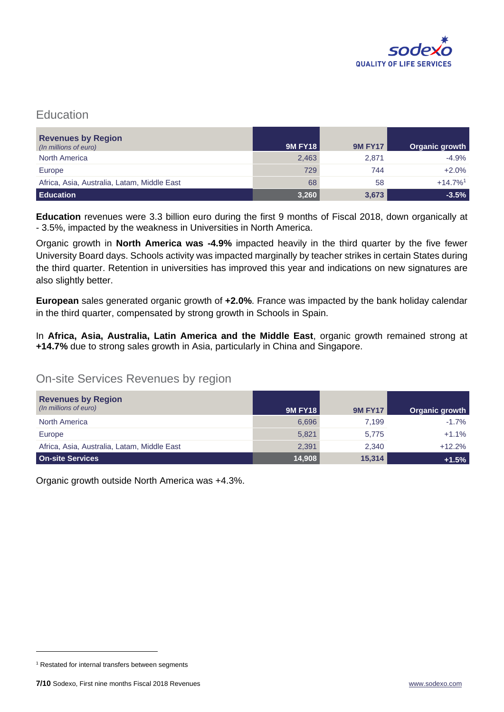

## **Education**

| <b>Revenues by Region</b><br>(In millions of euro) | 9M FY18 | <b>9M FY17</b> | Organic growth        |
|----------------------------------------------------|---------|----------------|-----------------------|
| <b>North America</b>                               | 2,463   | 2,871          | $-4.9%$               |
| Europe                                             | 729     | 744            | $+2.0%$               |
| Africa, Asia, Australia, Latam, Middle East        | 68      | 58             | $+14.7%$ <sup>1</sup> |
| <b>Education</b>                                   | 3,260   | 3,673          | $-3.5%$               |

**Education** revenues were 3.3 billion euro during the first 9 months of Fiscal 2018, down organically at - 3.5%, impacted by the weakness in Universities in North America.

Organic growth in **North America was -4.9%** impacted heavily in the third quarter by the five fewer University Board days. Schools activity was impacted marginally by teacher strikes in certain States during the third quarter. Retention in universities has improved this year and indications on new signatures are also slightly better.

**European** sales generated organic growth of **+2.0%**. France was impacted by the bank holiday calendar in the third quarter, compensated by strong growth in Schools in Spain.

In **Africa, Asia, Australia, Latin America and the Middle East**, organic growth remained strong at **+14.7%** due to strong sales growth in Asia, particularly in China and Singapore.

## On-site Services Revenues by region

| <b>Revenues by Region</b><br>(In millions of euro) | <b>9M FY18</b> | <b>9M FY17</b> | Organic growth |
|----------------------------------------------------|----------------|----------------|----------------|
| North America                                      | 6,696          | 7.199          | $-1.7%$        |
| Europe                                             | 5,821          | 5,775          | $+1.1%$        |
| Africa, Asia, Australia, Latam, Middle East        | 2,391          | 2.340          | $+12.2%$       |
| <b>On-site Services</b>                            | 14,908         | 15,314         | $+1.5%$        |

Organic growth outside North America was +4.3%.

<sup>&</sup>lt;sup>1</sup> Restated for internal transfers between segments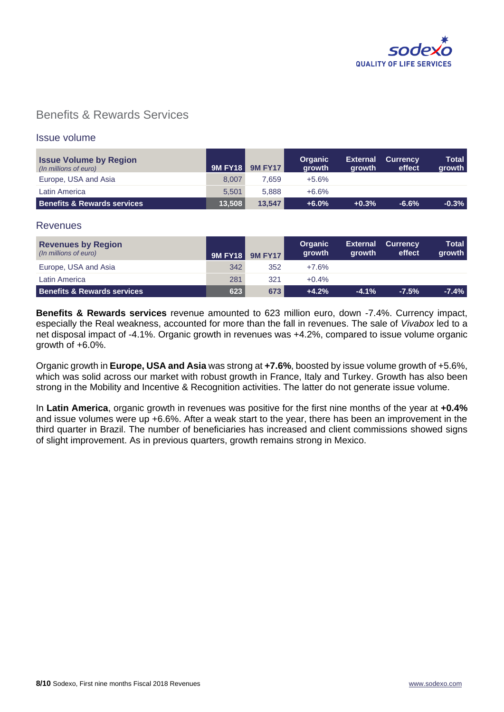

## Benefits & Rewards Services

### Issue volume

| <b>Issue Volume by Region</b><br>(In millions of euro) | <b>9M FY18 I</b> | <b>9M FY17</b> | <b>Organic</b><br>arowth | <b>External</b><br>arowth | <b>Currency</b><br>effect | <b>Total</b><br>growth |
|--------------------------------------------------------|------------------|----------------|--------------------------|---------------------------|---------------------------|------------------------|
| Europe, USA and Asia                                   | 8.007            | 7.659          | $+5.6%$                  |                           |                           |                        |
| Latin America                                          | 5.501            | 5.888          | +6.6%                    |                           |                           |                        |
| <b>Benefits &amp; Rewards services</b>                 | 13.508           | 13.547         | $+6.0%$                  | $+0.3%$                   | $-6.6%$                   | $-0.3%$                |

#### **Revenues**

| <b>Revenues by Region</b><br>(In millions of euro) | <b>9M FY18</b> | <b>9M FY17</b> | <b>Organic</b><br>growth | <b>External</b><br><b>arowth</b> | <b>Currency</b><br>effect | <b>Total</b><br>growth |
|----------------------------------------------------|----------------|----------------|--------------------------|----------------------------------|---------------------------|------------------------|
| Europe, USA and Asia                               | 342            | 352            | $+7.6\%$                 |                                  |                           |                        |
| Latin America                                      | 281            | 321            | $+0.4%$                  |                                  |                           |                        |
| <b>Benefits &amp; Rewards services</b>             | 623            | 673            | $+4.2%$                  | $-4.1%$                          | $-7.5\%$                  | $-7.4%$                |

**Benefits & Rewards services** revenue amounted to 623 million euro, down -7.4%. Currency impact, especially the Real weakness, accounted for more than the fall in revenues. The sale of *Vivabox* led to a net disposal impact of -4.1%. Organic growth in revenues was +4.2%, compared to issue volume organic arowth of  $+6.0\%$ .

Organic growth in **Europe, USA and Asia** was strong at **+7.6%**, boosted by issue volume growth of +5.6%, which was solid across our market with robust growth in France, Italy and Turkey. Growth has also been strong in the Mobility and Incentive & Recognition activities. The latter do not generate issue volume.

In **Latin America**, organic growth in revenues was positive for the first nine months of the year at **+0.4%**  and issue volumes were up +6.6%. After a weak start to the year, there has been an improvement in the third quarter in Brazil. The number of beneficiaries has increased and client commissions showed signs of slight improvement. As in previous quarters, growth remains strong in Mexico.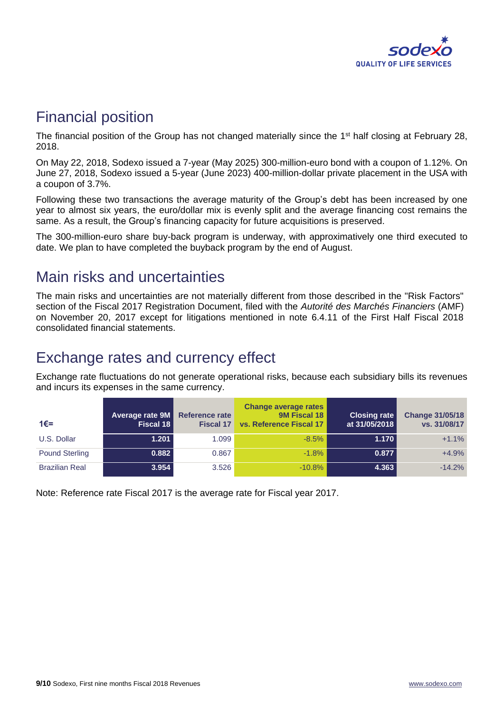

# Financial position

The financial position of the Group has not changed materially since the 1<sup>st</sup> half closing at February 28, 2018.

On May 22, 2018, Sodexo issued a 7-year (May 2025) 300-million-euro bond with a coupon of 1.12%. On June 27, 2018, Sodexo issued a 5-year (June 2023) 400-million-dollar private placement in the USA with a coupon of 3.7%.

Following these two transactions the average maturity of the Group's debt has been increased by one year to almost six years, the euro/dollar mix is evenly split and the average financing cost remains the same. As a result, the Group's financing capacity for future acquisitions is preserved.

The 300-million-euro share buy-back program is underway, with approximatively one third executed to date. We plan to have completed the buyback program by the end of August.

# Main risks and uncertainties

The main risks and uncertainties are not materially different from those described in the "Risk Factors" section of the Fiscal 2017 Registration Document, filed with the *Autorité des Marchés Financiers* (AMF) on November 20, 2017 except for litigations mentioned in note 6.4.11 of the First Half Fiscal 2018 consolidated financial statements.

# Exchange rates and currency effect

Exchange rate fluctuations do not generate operational risks, because each subsidiary bills its revenues and incurs its expenses in the same currency.

| $1€=$                 | Average rate 9M<br>Fiscal 18 | <b>Reference rate</b><br><b>Fiscal 17</b> | <b>Change average rates</b><br>9M Fiscal 18<br>vs. Reference Fiscal 17 | Closing rate<br>at 31/05/2018 | <b>Change 31/05/18</b><br>vs. 31/08/17 |
|-----------------------|------------------------------|-------------------------------------------|------------------------------------------------------------------------|-------------------------------|----------------------------------------|
| U.S. Dollar           | 1.201                        | 1.099                                     | $-8.5%$                                                                | 1.170                         | $+1.1%$                                |
| <b>Pound Sterling</b> | 0.882                        | 0.867                                     | $-1.8%$                                                                | 0.877                         | $+4.9%$                                |
| <b>Brazilian Real</b> | 3.954                        | 3.526                                     | $-10.8%$                                                               | 4.363                         | $-14.2%$                               |

Note: Reference rate Fiscal 2017 is the average rate for Fiscal year 2017.